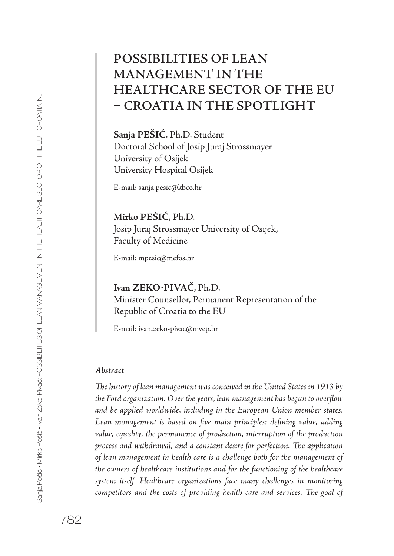# **POSSIBILITIES OF LEAN MANAGEMENT IN THE HEALTHCARE SECTOR OF THE EU – CROATIA IN THE SPOTLIGHT**

**Sanja PEŠIĆ**, Ph.D. Student Doctoral School of Josip Juraj Strossmayer University of Osijek University Hospital Osijek

E-mail: sanja.pesic@kbco.hr

**Mirko PEŠIĆ**, Ph.D. Josip Juraj Strossmayer University of Osijek, Faculty of Medicine

E-mail: mpesic@mefos.hr

**Ivan ZEKO-PIVAČ**, Ph.D. Minister Counsellor, Permanent Representation of the Republic of Croatia to the EU

E-mail: ivan.zeko-pivac@mvep.hr

#### *Abstract*

*The history of lean management was conceived in the United States in 1913 by the Ford organization. Over the years, lean management has begun to overflow and be applied worldwide, including in the European Union member states. Lean management is based on five main principles: defining value, adding value, equality, the permanence of production, interruption of the production process and withdrawal, and a constant desire for perfection. The application of lean management in health care is a challenge both for the management of the owners of healthcare institutions and for the functioning of the healthcare system itself. Healthcare organizations face many challenges in monitoring competitors and the costs of providing health care and services. The goal of*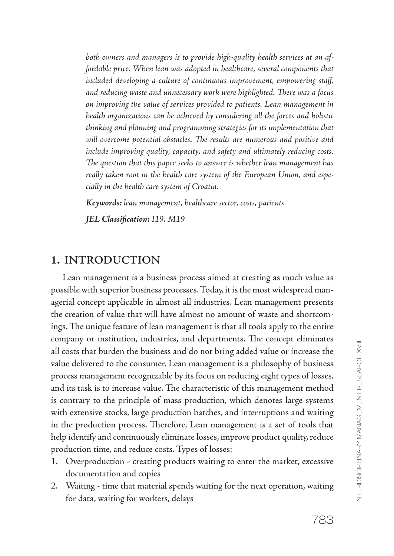*both owners and managers is to provide high-quality health services at an affordable price. When lean was adopted in healthcare, several components that included developing a culture of continuous improvement, empowering staff, and reducing waste and unnecessary work were highlighted. There was a focus on improving the value of services provided to patients. Lean management in health organizations can be achieved by considering all the forces and holistic thinking and planning and programming strategies for its implementation that will overcome potential obstacles. The results are numerous and positive and include improving quality, capacity, and safety and ultimately reducing costs. The question that this paper seeks to answer is whether lean management has really taken root in the health care system of the European Union, and especially in the health care system of Croatia.*

*Keywords: lean management, healthcare sector, costs, patients* 

*JEL Classification: I19, M19*

### **1. INTRODUCTION**

Lean management is a business process aimed at creating as much value as possible with superior business processes. Today, it is the most widespread managerial concept applicable in almost all industries. Lean management presents the creation of value that will have almost no amount of waste and shortcomings. The unique feature of lean management is that all tools apply to the entire company or institution, industries, and departments. The concept eliminates all costs that burden the business and do not bring added value or increase the value delivered to the consumer. Lean management is a philosophy of business process management recognizable by its focus on reducing eight types of losses, and its task is to increase value. The characteristic of this management method is contrary to the principle of mass production, which denotes large systems with extensive stocks, large production batches, and interruptions and waiting in the production process. Therefore, Lean management is a set of tools that help identify and continuously eliminate losses, improve product quality, reduce production time, and reduce costs. Types of losses:

- 1. Overproduction creating products waiting to enter the market, excessive documentation and copies
- 2. Waiting time that material spends waiting for the next operation, waiting for data, waiting for workers, delays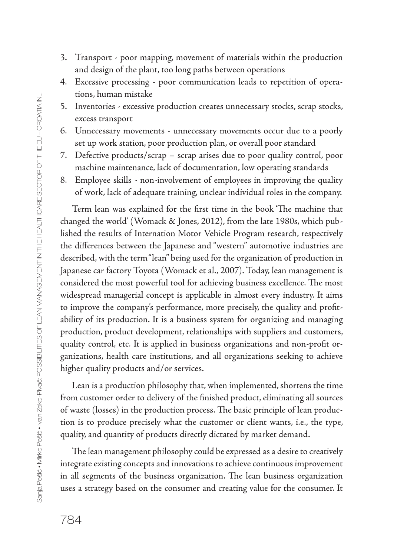- 3. Transport poor mapping, movement of materials within the production and design of the plant, too long paths between operations
- 4. Excessive processing poor communication leads to repetition of operations, human mistake
- 5. Inventories excessive production creates unnecessary stocks, scrap stocks, excess transport
- 6. Unnecessary movements unnecessary movements occur due to a poorly set up work station, poor production plan, or overall poor standard
- 7. Defective products/scrap scrap arises due to poor quality control, poor machine maintenance, lack of documentation, low operating standards
- 8. Employee skills non-involvement of employees in improving the quality of work, lack of adequate training, unclear individual roles in the company.

Term lean was explained for the first time in the book 'The machine that changed the world' (Womack & Jones, 2012), from the late 1980s, which published the results of Internation Motor Vehicle Program research, respectively the differences between the Japanese and "western" automotive industries are described, with the term "lean" being used for the organization of production in Japanese car factory Toyota (Womack et al., 2007). Today, lean management is considered the most powerful tool for achieving business excellence. The most widespread managerial concept is applicable in almost every industry. It aims to improve the company's performance, more precisely, the quality and profitability of its production. It is a business system for organizing and managing production, product development, relationships with suppliers and customers, quality control, etc. It is applied in business organizations and non-profit organizations, health care institutions, and all organizations seeking to achieve higher quality products and/or services.

Lean is a production philosophy that, when implemented, shortens the time from customer order to delivery of the finished product, eliminating all sources of waste (losses) in the production process. The basic principle of lean production is to produce precisely what the customer or client wants, i.e., the type, quality, and quantity of products directly dictated by market demand.

The lean management philosophy could be expressed as a desire to creatively integrate existing concepts and innovations to achieve continuous improvement in all segments of the business organization. The lean business organization uses a strategy based on the consumer and creating value for the consumer. It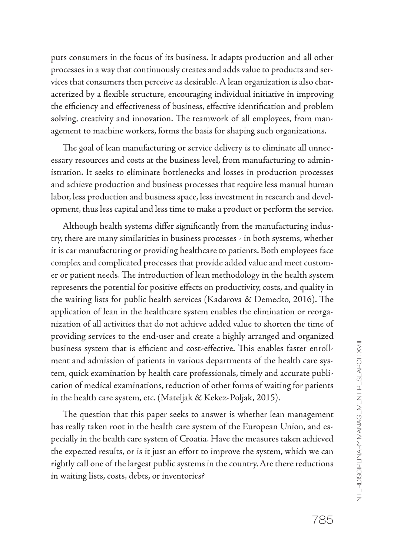puts consumers in the focus of its business. It adapts production and all other processes in a way that continuously creates and adds value to products and services that consumers then perceive as desirable. A lean organization is also characterized by a flexible structure, encouraging individual initiative in improving the efficiency and effectiveness of business, effective identification and problem solving, creativity and innovation. The teamwork of all employees, from management to machine workers, forms the basis for shaping such organizations.

The goal of lean manufacturing or service delivery is to eliminate all unnecessary resources and costs at the business level, from manufacturing to administration. It seeks to eliminate bottlenecks and losses in production processes and achieve production and business processes that require less manual human labor, less production and business space, less investment in research and development, thus less capital and less time to make a product or perform the service.

Although health systems differ significantly from the manufacturing industry, there are many similarities in business processes - in both systems, whether it is car manufacturing or providing healthcare to patients. Both employees face complex and complicated processes that provide added value and meet customer or patient needs. The introduction of lean methodology in the health system represents the potential for positive effects on productivity, costs, and quality in the waiting lists for public health services (Kadarova & Demecko, 2016). The application of lean in the healthcare system enables the elimination or reorganization of all activities that do not achieve added value to shorten the time of providing services to the end-user and create a highly arranged and organized business system that is efficient and cost-effective. This enables faster enrollment and admission of patients in various departments of the health care system, quick examination by health care professionals, timely and accurate publication of medical examinations, reduction of other forms of waiting for patients in the health care system, etc. (Mateljak & Kekez-Poljak, 2015).

The question that this paper seeks to answer is whether lean management has really taken root in the health care system of the European Union, and especially in the health care system of Croatia. Have the measures taken achieved the expected results, or is it just an effort to improve the system, which we can rightly call one of the largest public systems in the country. Are there reductions in waiting lists, costs, debts, or inventories?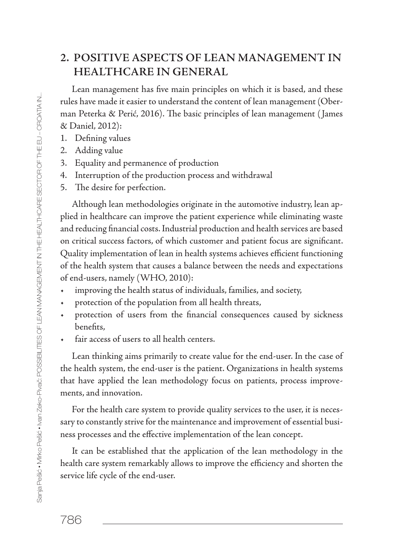## **2. POSITIVE ASPECTS OF LEAN MANAGEMENT IN HEALTHCARE IN GENERAL**

Lean management has five main principles on which it is based, and these rules have made it easier to understand the content of lean management (Oberman Peterka & Perić, 2016). The basic principles of lean management ( James & Daniel, 2012):

- 1. Defining values
- 2. Adding value
- 3. Equality and permanence of production
- 4. Interruption of the production process and withdrawal
- 5. The desire for perfection.

Although lean methodologies originate in the automotive industry, lean applied in healthcare can improve the patient experience while eliminating waste and reducing financial costs. Industrial production and health services are based on critical success factors, of which customer and patient focus are significant. Quality implementation of lean in health systems achieves efficient functioning of the health system that causes a balance between the needs and expectations of end-users, namely (WHO, 2010):

- improving the health status of individuals, families, and society,
- protection of the population from all health threats,
- protection of users from the financial consequences caused by sickness benefits,
- fair access of users to all health centers.

Lean thinking aims primarily to create value for the end-user. In the case of the health system, the end-user is the patient. Organizations in health systems that have applied the lean methodology focus on patients, process improvements, and innovation.

For the health care system to provide quality services to the user, it is necessary to constantly strive for the maintenance and improvement of essential business processes and the effective implementation of the lean concept.

It can be established that the application of the lean methodology in the health care system remarkably allows to improve the efficiency and shorten the service life cycle of the end-user.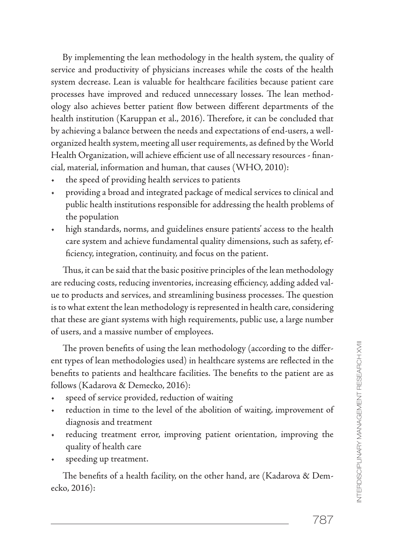By implementing the lean methodology in the health system, the quality of service and productivity of physicians increases while the costs of the health system decrease. Lean is valuable for healthcare facilities because patient care processes have improved and reduced unnecessary losses. The lean methodology also achieves better patient flow between different departments of the health institution (Karuppan et al., 2016). Therefore, it can be concluded that by achieving a balance between the needs and expectations of end-users, a wellorganized health system, meeting all user requirements, as defined by the World Health Organization, will achieve efficient use of all necessary resources - financial, material, information and human, that causes (WHO, 2010):

- the speed of providing health services to patients
- providing a broad and integrated package of medical services to clinical and public health institutions responsible for addressing the health problems of the population
- high standards, norms, and guidelines ensure patients' access to the health care system and achieve fundamental quality dimensions, such as safety, efficiency, integration, continuity, and focus on the patient.

Thus, it can be said that the basic positive principles of the lean methodology are reducing costs, reducing inventories, increasing efficiency, adding added value to products and services, and streamlining business processes. The question is to what extent the lean methodology is represented in health care, considering that these are giant systems with high requirements, public use, a large number of users, and a massive number of employees.

The proven benefits of using the lean methodology (according to the different types of lean methodologies used) in healthcare systems are reflected in the benefits to patients and healthcare facilities. The benefits to the patient are as follows (Kadarova & Demecko, 2016):

- speed of service provided, reduction of waiting
- reduction in time to the level of the abolition of waiting, improvement of diagnosis and treatment
- reducing treatment error, improving patient orientation, improving the quality of health care
- speeding up treatment.

The benefits of a health facility, on the other hand, are (Kadarova & Demecko, 2016):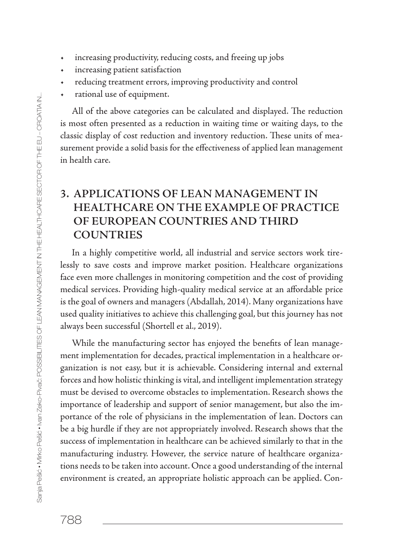- increasing productivity, reducing costs, and freeing up jobs
- increasing patient satisfaction
- reducing treatment errors, improving productivity and control
- rational use of equipment.

All of the above categories can be calculated and displayed. The reduction is most often presented as a reduction in waiting time or waiting days, to the classic display of cost reduction and inventory reduction. These units of measurement provide a solid basis for the effectiveness of applied lean management in health care.

## **3. APPLICATIONS OF LEAN MANAGEMENT IN HEALTHCARE ON THE EXAMPLE OF PRACTICE OF EUROPEAN COUNTRIES AND THIRD COUNTRIES**

In a highly competitive world, all industrial and service sectors work tirelessly to save costs and improve market position. Healthcare organizations face even more challenges in monitoring competition and the cost of providing medical services. Providing high-quality medical service at an affordable price is the goal of owners and managers (Abdallah, 2014). Many organizations have used quality initiatives to achieve this challenging goal, but this journey has not always been successful (Shortell et al., 2019).

While the manufacturing sector has enjoyed the benefits of lean management implementation for decades, practical implementation in a healthcare organization is not easy, but it is achievable. Considering internal and external forces and how holistic thinking is vital, and intelligent implementation strategy must be devised to overcome obstacles to implementation. Research shows the importance of leadership and support of senior management, but also the importance of the role of physicians in the implementation of lean. Doctors can be a big hurdle if they are not appropriately involved. Research shows that the success of implementation in healthcare can be achieved similarly to that in the manufacturing industry. However, the service nature of healthcare organizations needs to be taken into account. Once a good understanding of the internal environment is created, an appropriate holistic approach can be applied. Con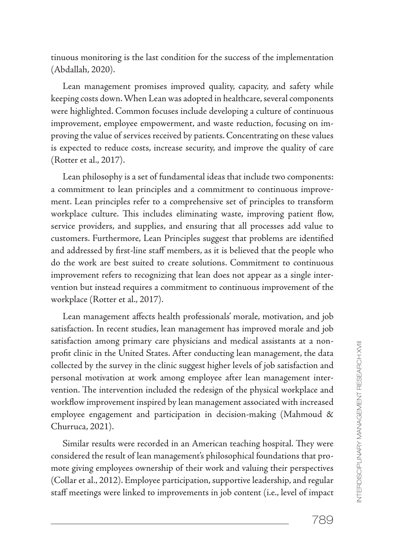tinuous monitoring is the last condition for the success of the implementation (Abdallah, 2020).

Lean management promises improved quality, capacity, and safety while keeping costs down. When Lean was adopted in healthcare, several components were highlighted. Common focuses include developing a culture of continuous improvement, employee empowerment, and waste reduction, focusing on improving the value of services received by patients. Concentrating on these values is expected to reduce costs, increase security, and improve the quality of care (Rotter et al., 2017).

Lean philosophy is a set of fundamental ideas that include two components: a commitment to lean principles and a commitment to continuous improvement. Lean principles refer to a comprehensive set of principles to transform workplace culture. This includes eliminating waste, improving patient flow, service providers, and supplies, and ensuring that all processes add value to customers. Furthermore, Lean Principles suggest that problems are identified and addressed by first-line staff members, as it is believed that the people who do the work are best suited to create solutions. Commitment to continuous improvement refers to recognizing that lean does not appear as a single intervention but instead requires a commitment to continuous improvement of the workplace (Rotter et al., 2017).

Lean management affects health professionals' morale, motivation, and job satisfaction. In recent studies, lean management has improved morale and job satisfaction among primary care physicians and medical assistants at a nonprofit clinic in the United States. After conducting lean management, the data collected by the survey in the clinic suggest higher levels of job satisfaction and personal motivation at work among employee after lean management intervention. The intervention included the redesign of the physical workplace and workflow improvement inspired by lean management associated with increased employee engagement and participation in decision-making (Mahmoud & Churruca, 2021).

Similar results were recorded in an American teaching hospital. They were considered the result of lean management's philosophical foundations that promote giving employees ownership of their work and valuing their perspectives (Collar et al., 2012). Employee participation, supportive leadership, and regular staff meetings were linked to improvements in job content (i.e., level of impact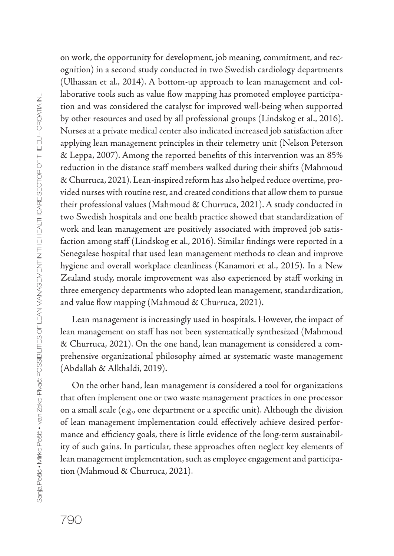on work, the opportunity for development, job meaning, commitment, and recognition) in a second study conducted in two Swedish cardiology departments (Ulhassan et al., 2014). A bottom-up approach to lean management and collaborative tools such as value flow mapping has promoted employee participation and was considered the catalyst for improved well-being when supported by other resources and used by all professional groups (Lindskog et al., 2016). Nurses at a private medical center also indicated increased job satisfaction after applying lean management principles in their telemetry unit (Nelson Peterson & Leppa, 2007). Among the reported benefits of this intervention was an 85% reduction in the distance staff members walked during their shifts (Mahmoud & Churruca, 2021). Lean-inspired reform has also helped reduce overtime, provided nurses with routine rest, and created conditions that allow them to pursue their professional values (Mahmoud & Churruca, 2021). A study conducted in two Swedish hospitals and one health practice showed that standardization of work and lean management are positively associated with improved job satisfaction among staff (Lindskog et al., 2016). Similar findings were reported in a Senegalese hospital that used lean management methods to clean and improve hygiene and overall workplace cleanliness (Kanamori et al., 2015). In a New Zealand study, morale improvement was also experienced by staff working in three emergency departments who adopted lean management, standardization, and value flow mapping (Mahmoud & Churruca, 2021).

Lean management is increasingly used in hospitals. However, the impact of lean management on staff has not been systematically synthesized (Mahmoud & Churruca, 2021). On the one hand, lean management is considered a comprehensive organizational philosophy aimed at systematic waste management (Abdallah & Alkhaldi, 2019).

On the other hand, lean management is considered a tool for organizations that often implement one or two waste management practices in one processor on a small scale (e.g., one department or a specific unit). Although the division of lean management implementation could effectively achieve desired performance and efficiency goals, there is little evidence of the long-term sustainability of such gains. In particular, these approaches often neglect key elements of lean management implementation, such as employee engagement and participation (Mahmoud & Churruca, 2021).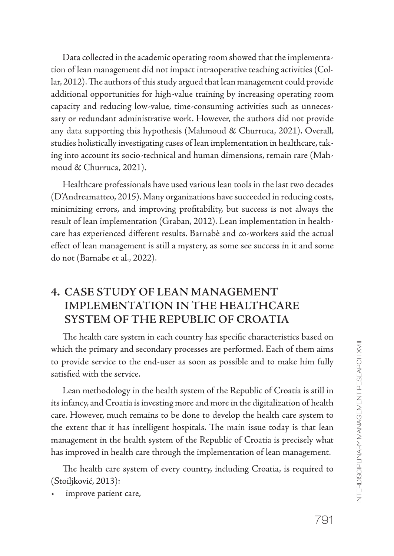Data collected in the academic operating room showed that the implementation of lean management did not impact intraoperative teaching activities (Collar, 2012). The authors of this study argued that lean management could provide additional opportunities for high-value training by increasing operating room capacity and reducing low-value, time-consuming activities such as unnecessary or redundant administrative work. However, the authors did not provide any data supporting this hypothesis (Mahmoud & Churruca, 2021). Overall, studies holistically investigating cases of lean implementation in healthcare, taking into account its socio-technical and human dimensions, remain rare (Mahmoud & Churruca, 2021).

Healthcare professionals have used various lean tools in the last two decades (D'Andreamatteo, 2015). Many organizations have succeeded in reducing costs, minimizing errors, and improving profitability, but success is not always the result of lean implementation (Graban, 2012). Lean implementation in healthcare has experienced different results. Barnabè and co-workers said the actual effect of lean management is still a mystery, as some see success in it and some do not (Barnabe et al., 2022).

## **4. CASE STUDY OF LEAN MANAGEMENT IMPLEMENTATION IN THE HEALTHCARE SYSTEM OF THE REPUBLIC OF CROATIA**

The health care system in each country has specific characteristics based on which the primary and secondary processes are performed. Each of them aims to provide service to the end-user as soon as possible and to make him fully satisfied with the service.

Lean methodology in the health system of the Republic of Croatia is still in its infancy, and Croatia is investing more and more in the digitalization of health care. However, much remains to be done to develop the health care system to the extent that it has intelligent hospitals. The main issue today is that lean management in the health system of the Republic of Croatia is precisely what has improved in health care through the implementation of lean management.

The health care system of every country, including Croatia, is required to (Stoiljković, 2013):

improve patient care,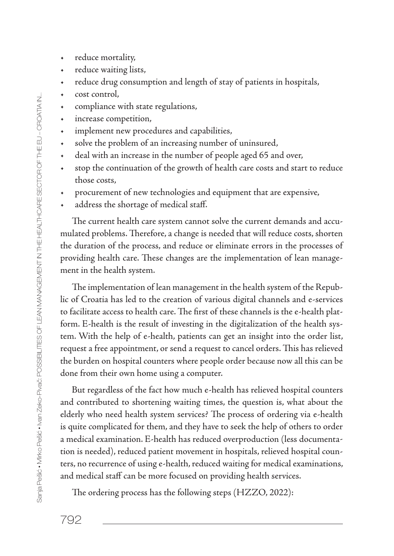- reduce mortality,
- reduce waiting lists,
- reduce drug consumption and length of stay of patients in hospitals,
- cost control,
- compliance with state regulations,
- increase competition,
- implement new procedures and capabilities,
- solve the problem of an increasing number of uninsured,
- deal with an increase in the number of people aged 65 and over,
- stop the continuation of the growth of health care costs and start to reduce those costs,
- procurement of new technologies and equipment that are expensive,
- address the shortage of medical staff.

The current health care system cannot solve the current demands and accumulated problems. Therefore, a change is needed that will reduce costs, shorten the duration of the process, and reduce or eliminate errors in the processes of providing health care. These changes are the implementation of lean management in the health system.

The implementation of lean management in the health system of the Republic of Croatia has led to the creation of various digital channels and e-services to facilitate access to health care. The first of these channels is the e-health platform. E-health is the result of investing in the digitalization of the health system. With the help of e-health, patients can get an insight into the order list, request a free appointment, or send a request to cancel orders. This has relieved the burden on hospital counters where people order because now all this can be done from their own home using a computer.

But regardless of the fact how much e-health has relieved hospital counters and contributed to shortening waiting times, the question is, what about the elderly who need health system services? The process of ordering via e-health is quite complicated for them, and they have to seek the help of others to order a medical examination. E-health has reduced overproduction (less documentation is needed), reduced patient movement in hospitals, relieved hospital counters, no recurrence of using e-health, reduced waiting for medical examinations, and medical staff can be more focused on providing health services.

The ordering process has the following steps (HZZO, 2022):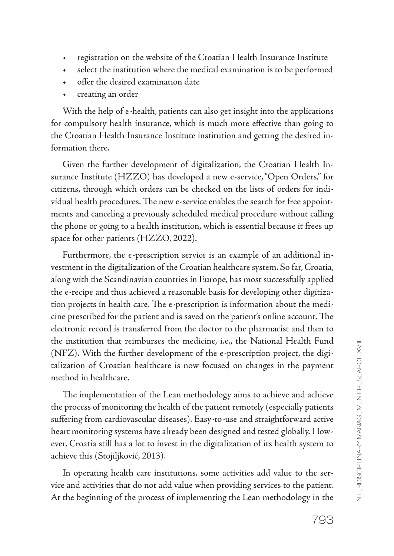- registration on the website of the Croatian Health Insurance Institute
- select the institution where the medical examination is to be performed
- offer the desired examination date
- creating an order

With the help of e-health, patients can also get insight into the applications for compulsory health insurance, which is much more effective than going to the Croatian Health Insurance Institute institution and getting the desired information there.

Given the further development of digitalization, the Croatian Health Insurance Institute (HZZO) has developed a new e-service, "Open Orders," for citizens, through which orders can be checked on the lists of orders for individual health procedures. The new e-service enables the search for free appointments and canceling a previously scheduled medical procedure without calling the phone or going to a health institution, which is essential because it frees up space for other patients (HZZO, 2022).

Furthermore, the e-prescription service is an example of an additional investment in the digitalization of the Croatian healthcare system. So far, Croatia, along with the Scandinavian countries in Europe, has most successfully applied the e-recipe and thus achieved a reasonable basis for developing other digitization projects in health care. The e-prescription is information about the medicine prescribed for the patient and is saved on the patient's online account. The electronic record is transferred from the doctor to the pharmacist and then to the institution that reimburses the medicine, i.e., the National Health Fund (NFZ). With the further development of the e-prescription project, the digitalization of Croatian healthcare is now focused on changes in the payment method in healthcare.

The implementation of the Lean methodology aims to achieve and achieve the process of monitoring the health of the patient remotely (especially patients suffering from cardiovascular diseases). Easy-to-use and straightforward active heart monitoring systems have already been designed and tested globally. However, Croatia still has a lot to invest in the digitalization of its health system to achieve this (Stojiljković, 2013).

In operating health care institutions, some activities add value to the service and activities that do not add value when providing services to the patient. At the beginning of the process of implementing the Lean methodology in the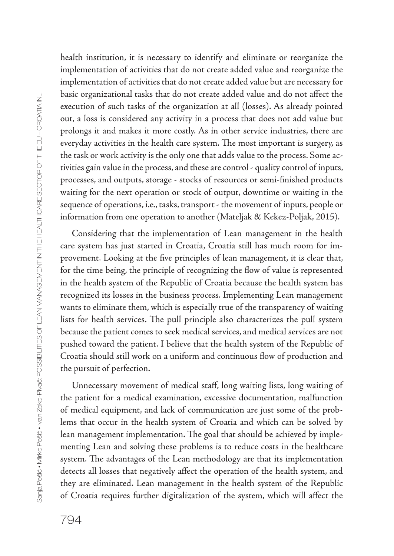health institution, it is necessary to identify and eliminate or reorganize the implementation of activities that do not create added value and reorganize the implementation of activities that do not create added value but are necessary for basic organizational tasks that do not create added value and do not affect the execution of such tasks of the organization at all (losses). As already pointed out, a loss is considered any activity in a process that does not add value but prolongs it and makes it more costly. As in other service industries, there are everyday activities in the health care system. The most important is surgery, as the task or work activity is the only one that adds value to the process. Some activities gain value in the process, and these are control - quality control of inputs, processes, and outputs, storage - stocks of resources or semi-finished products waiting for the next operation or stock of output, downtime or waiting in the sequence of operations, i.e., tasks, transport - the movement of inputs, people or information from one operation to another (Mateljak & Kekez-Poljak, 2015).

Considering that the implementation of Lean management in the health care system has just started in Croatia, Croatia still has much room for improvement. Looking at the five principles of lean management, it is clear that, for the time being, the principle of recognizing the flow of value is represented in the health system of the Republic of Croatia because the health system has recognized its losses in the business process. Implementing Lean management wants to eliminate them, which is especially true of the transparency of waiting lists for health services. The pull principle also characterizes the pull system because the patient comes to seek medical services, and medical services are not pushed toward the patient. I believe that the health system of the Republic of Croatia should still work on a uniform and continuous flow of production and the pursuit of perfection.

Unnecessary movement of medical staff, long waiting lists, long waiting of the patient for a medical examination, excessive documentation, malfunction of medical equipment, and lack of communication are just some of the problems that occur in the health system of Croatia and which can be solved by lean management implementation. The goal that should be achieved by implementing Lean and solving these problems is to reduce costs in the healthcare system. The advantages of the Lean methodology are that its implementation detects all losses that negatively affect the operation of the health system, and they are eliminated. Lean management in the health system of the Republic of Croatia requires further digitalization of the system, which will affect the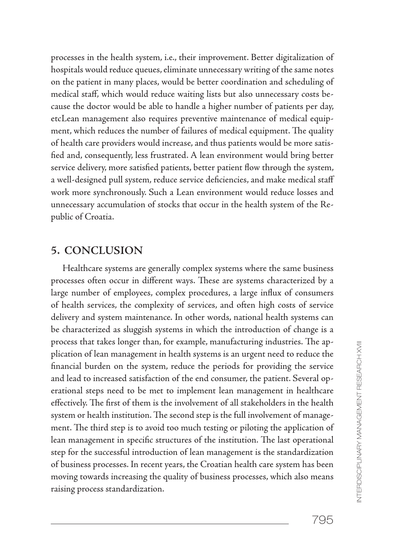processes in the health system, i.e., their improvement. Better digitalization of hospitals would reduce queues, eliminate unnecessary writing of the same notes on the patient in many places, would be better coordination and scheduling of medical staff, which would reduce waiting lists but also unnecessary costs because the doctor would be able to handle a higher number of patients per day, etcLean management also requires preventive maintenance of medical equipment, which reduces the number of failures of medical equipment. The quality of health care providers would increase, and thus patients would be more satisfied and, consequently, less frustrated. A lean environment would bring better service delivery, more satisfied patients, better patient flow through the system, a well-designed pull system, reduce service deficiencies, and make medical staff work more synchronously. Such a Lean environment would reduce losses and unnecessary accumulation of stocks that occur in the health system of the Republic of Croatia.

### **5. CONCLUSION**

Healthcare systems are generally complex systems where the same business processes often occur in different ways. These are systems characterized by a large number of employees, complex procedures, a large influx of consumers of health services, the complexity of services, and often high costs of service delivery and system maintenance. In other words, national health systems can be characterized as sluggish systems in which the introduction of change is a process that takes longer than, for example, manufacturing industries. The application of lean management in health systems is an urgent need to reduce the financial burden on the system, reduce the periods for providing the service and lead to increased satisfaction of the end consumer, the patient. Several operational steps need to be met to implement lean management in healthcare effectively. The first of them is the involvement of all stakeholders in the health system or health institution. The second step is the full involvement of management. The third step is to avoid too much testing or piloting the application of lean management in specific structures of the institution. The last operational step for the successful introduction of lean management is the standardization of business processes. In recent years, the Croatian health care system has been moving towards increasing the quality of business processes, which also means raising process standardization.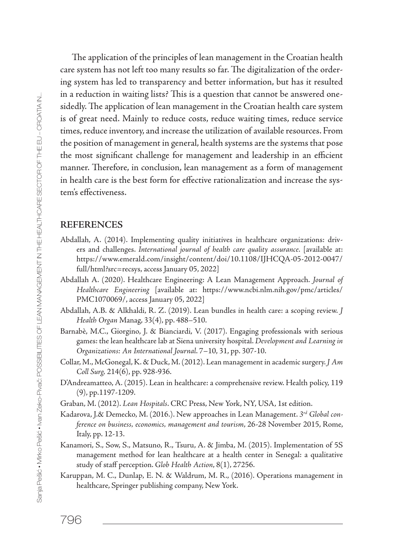The application of the principles of lean management in the Croatian health care system has not left too many results so far. The digitalization of the ordering system has led to transparency and better information, but has it resulted in a reduction in waiting lists? This is a question that cannot be answered onesidedly. The application of lean management in the Croatian health care system is of great need. Mainly to reduce costs, reduce waiting times, reduce service times, reduce inventory, and increase the utilization of available resources. From the position of management in general, health systems are the systems that pose the most significant challenge for management and leadership in an efficient manner. Therefore, in conclusion, lean management as a form of management in health care is the best form for effective rationalization and increase the system's effectiveness.

#### **REFERENCES**

- Abdallah, A. (2014). Implementing quality initiatives in healthcare organizations: drivers and challenges. *International journal of health care quality assurance.* [available at: https://www.emerald.com/insight/content/doi/10.1108/IJHCQA-05-2012-0047/ full/html?src=recsys, access January 05, 2022]
- Abdallah A. (2020). Healthcare Engineering: A Lean Management Approach. *Journal of Healthcare Engineering* [available at: https://www.ncbi.nlm.nih.gov/pmc/articles/ PMC1070069/, access January 05, 2022]
- Abdallah, A.B. & Alkhaldi, R. Z. (2019). Lean bundles in health care: a scoping review. *J Health Organ* Manag, 33(4), pp. 488–510.
- Barnabè, M.C., Giorgino, J. & Bianciardi, V. (2017). Engaging professionals with serious games: the lean healthcare lab at Siena university hospital. *Development and Learning in Organizations: An International Journal*. 7–10, 31, pp. 307-10.
- Collar, M., McGonegal, K. & Duck, M. (2012). Lean management in academic surgery. *J Am Coll Surg,* 214(6), pp. 928-936.
- D'Andreamatteo, A. (2015). Lean in healthcare: a comprehensive review. Health policy, 119 (9), pp.1197-1209.
- Graban, M. (2012). *Lean Hospitals*. CRC Press, New York, NY, USA, 1st edition.
- Kadarova, J.& Demecko, M. (2016.). New approaches in Lean Management. *3rd Global conference on business, economics, management and tourism*, 26-28 November 2015, Rome, Italy, pp. 12-13.
- Kanamori, S., Sow, S., Matsuno, R., Tsuru, A. & Jimba, M. (2015). Implementation of 5S management method for lean healthcare at a health center in Senegal: a qualitative study of staff perception. *Glob Health Action*, 8(1), 27256.
- Karuppan, M. C., Dunlap, E. N. & Waldrum, M. R., (2016). Operations management in healthcare, Springer publishing company, New York.

796